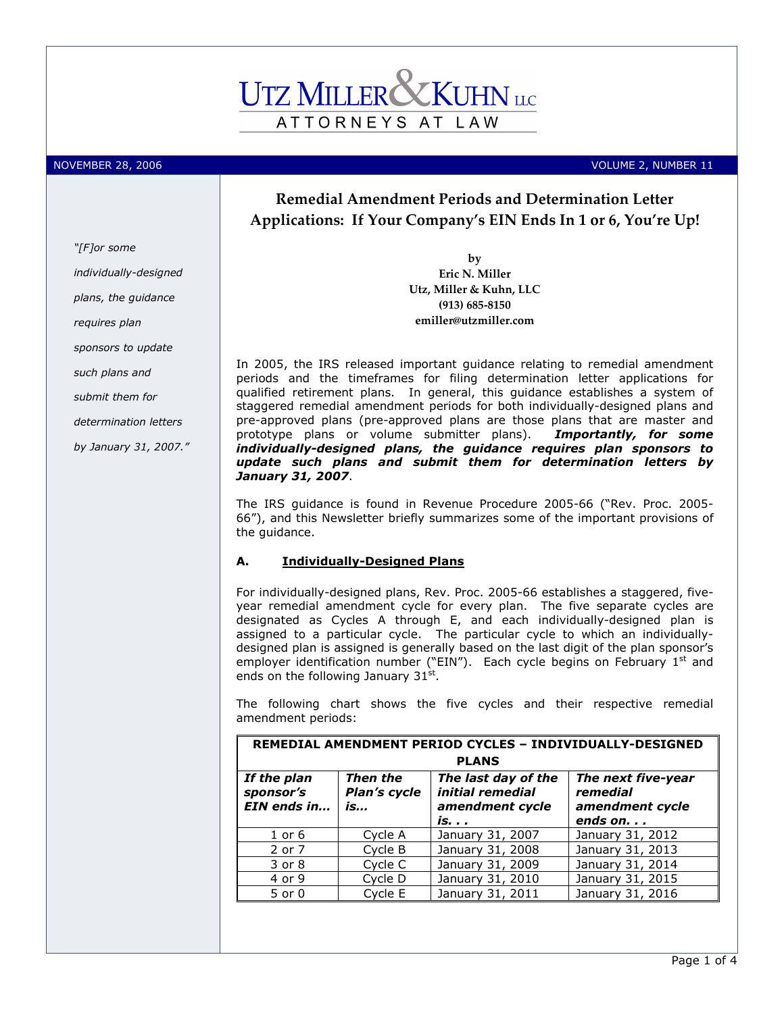

NOVEMBER 28, 2006 **Volume 2, 2006** VOLUME 2, NUMBER 11

# Remedial Amendment Periods and Determination Letter Applications: If Your Company's EIN Ends In 1 or 6, You're Up!

by Eric N. Miller Utz, Miller & Kuhn, LLC (913) 685-8150 emiller@utzmiller.com

In 2005, the IRS released important guidance relating to remedial amendment periods and the timeframes for filing determination letter applications for qualified retirement plans. In general, this guidance establishes a system of staggered remedial amendment periods for both individually-designed plans and pre-approved plans (pre-approved plans are those plans that are master and prototype plans or volume submitter plans). Importantly, for some individually-designed plans, the guidance requires plan sponsors to update such plans and submit them for determination letters by January 31, 2007.

The IRS guidance is found in Revenue Procedure 2005-66 ("Rev. Proc. 2005- 66"), and this Newsletter briefly summarizes some of the important provisions of the guidance.

## A. Individually-Designed Plans

For individually-designed plans, Rev. Proc. 2005-66 establishes a staggered, fiveyear remedial amendment cycle for every plan. The five separate cycles are designated as Cycles A through E, and each individually-designed plan is assigned to a particular cycle. The particular cycle to which an individuallydesigned plan is assigned is generally based on the last digit of the plan sponsor's employer identification number ("EIN"). Each cycle begins on February  $1<sup>st</sup>$  and ends on the following January 31st.

The following chart shows the five cycles and their respective remedial amendment periods:

| REMEDIAL AMENDMENT PERIOD CYCLES - INDIVIDUALLY-DESIGNED |                                |                                                            |                                                   |  |
|----------------------------------------------------------|--------------------------------|------------------------------------------------------------|---------------------------------------------------|--|
| <b>PLANS</b>                                             |                                |                                                            |                                                   |  |
| If the plan<br>sponsor's<br>EIN ends in                  | Then the<br>Plan's cycle<br>is | The last day of the<br>initial remedial<br>amendment cycle | The next five-year<br>remedial<br>amendment cycle |  |
|                                                          |                                | is.                                                        | ends on, , ,                                      |  |
| $1$ or $6$                                               | Cycle A                        | January 31, 2007                                           | January 31, 2012                                  |  |
| 2 or 7                                                   | Cycle B                        | January 31, 2008                                           | January 31, 2013                                  |  |
| 3 or 8                                                   | Cycle C                        | January 31, 2009                                           | January 31, 2014                                  |  |
| 4 or 9                                                   | Cycle D                        | January 31, 2010                                           | January 31, 2015                                  |  |
| $5$ or $0$                                               | Cycle E                        | January 31, 2011                                           | January 31, 2016                                  |  |

"[F]or some

individually-designed

plans, the guidance

requires plan

sponsors to update

such plans and

submit them for

determination letters

by January 31, 2007."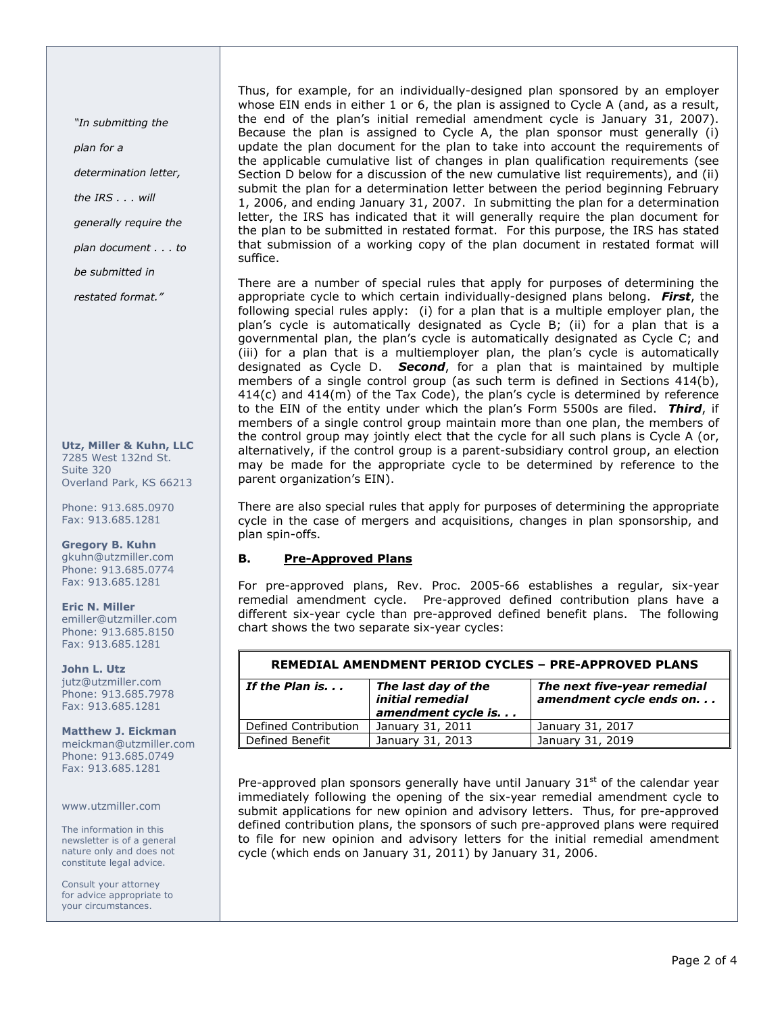"In submitting the

plan for a

determination letter,

the IRS . . . will

generally require the

plan document . . . to

be submitted in

restated format."

Utz, Miller & Kuhn, LLC 7285 West 132nd St. Suite 320 Overland Park, KS 66213

Phone: 913.685.0970 Fax: 913.685.1281

Gregory B. Kuhn gkuhn@utzmiller.com Phone: 913.685.0774 Fax: 913.685.1281

Eric N. Miller emiller@utzmiller.com Phone: 913.685.8150 Fax: 913.685.1281

John L. Utz jutz@utzmiller.com Phone: 913.685.7978 Fax: 913.685.1281

#### Matthew J. Eickman meickman@utzmiller.com Phone: 913.685.0749 Fax: 913.685.1281

www.utzmiller.com

The information in this newsletter is of a general nature only and does not constitute legal advice.

Consult your attorney for advice appropriate to your circumstances.

Thus, for example, for an individually-designed plan sponsored by an employer whose EIN ends in either 1 or 6, the plan is assigned to Cycle A (and, as a result, the end of the plan's initial remedial amendment cycle is January 31, 2007). Because the plan is assigned to Cycle A, the plan sponsor must generally (i) update the plan document for the plan to take into account the requirements of the applicable cumulative list of changes in plan qualification requirements (see Section D below for a discussion of the new cumulative list requirements), and (ii) submit the plan for a determination letter between the period beginning February 1, 2006, and ending January 31, 2007. In submitting the plan for a determination letter, the IRS has indicated that it will generally require the plan document for the plan to be submitted in restated format. For this purpose, the IRS has stated that submission of a working copy of the plan document in restated format will suffice.

There are a number of special rules that apply for purposes of determining the appropriate cycle to which certain individually-designed plans belong. First, the following special rules apply: (i) for a plan that is a multiple employer plan, the plan's cycle is automatically designated as Cycle B; (ii) for a plan that is a governmental plan, the plan's cycle is automatically designated as Cycle C; and (iii) for a plan that is a multiemployer plan, the plan's cycle is automatically designated as Cycle D. **Second**, for a plan that is maintained by multiple members of a single control group (as such term is defined in Sections 414(b), 414(c) and 414(m) of the Tax Code), the plan's cycle is determined by reference to the EIN of the entity under which the plan's Form 5500s are filed. Third, if members of a single control group maintain more than one plan, the members of the control group may jointly elect that the cycle for all such plans is Cycle A (or, alternatively, if the control group is a parent-subsidiary control group, an election may be made for the appropriate cycle to be determined by reference to the parent organization's EIN).

There are also special rules that apply for purposes of determining the appropriate cycle in the case of mergers and acquisitions, changes in plan sponsorship, and plan spin-offs.

## B. Pre-Approved Plans

For pre-approved plans, Rev. Proc. 2005-66 establishes a regular, six-year remedial amendment cycle. Pre-approved defined contribution plans have a different six-year cycle than pre-approved defined benefit plans. The following chart shows the two separate six-year cycles:

| REMEDIAL AMENDMENT PERIOD CYCLES - PRE-APPROVED PLANS                             |                  |                                                         |  |  |
|-----------------------------------------------------------------------------------|------------------|---------------------------------------------------------|--|--|
| The last day of the<br>If the Plan is.<br>initial remedial<br>amendment cycle is. |                  | The next five-year remedial<br>amendment cycle ends on. |  |  |
| Defined Contribution                                                              | January 31, 2011 | January 31, 2017                                        |  |  |
| Defined Benefit                                                                   | January 31, 2013 | January 31, 2019                                        |  |  |

Pre-approved plan sponsors generally have until January  $31<sup>st</sup>$  of the calendar year immediately following the opening of the six-year remedial amendment cycle to submit applications for new opinion and advisory letters. Thus, for pre-approved defined contribution plans, the sponsors of such pre-approved plans were required to file for new opinion and advisory letters for the initial remedial amendment cycle (which ends on January 31, 2011) by January 31, 2006.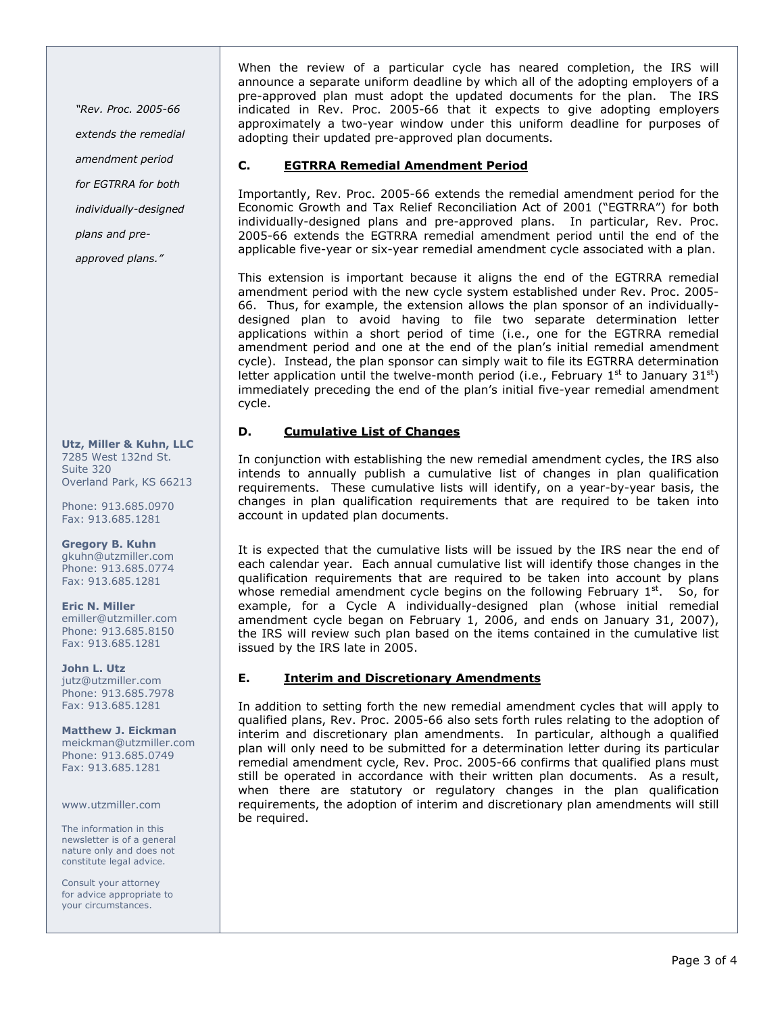"Rev. Proc. 2005-66 extends the remedial amendment period for EGTRRA for both individually-designed plans and pre-

approved plans."

### Utz, Miller & Kuhn, LLC 7285 West 132nd St. Suite 320 Overland Park, KS 66213

Phone: 913.685.0970 Fax: 913.685.1281

Gregory B. Kuhn gkuhn@utzmiller.com Phone: 913.685.0774 Fax: 913.685.1281

Eric N. Miller emiller@utzmiller.com Phone: 913.685.8150 Fax: 913.685.1281

John L. Utz jutz@utzmiller.com Phone: 913.685.7978 Fax: 913.685.1281

Matthew J. Eickman meickman@utzmiller.com Phone: 913.685.0749 Fax: 913.685.1281

www.utzmiller.com

The information in this newsletter is of a general nature only and does not constitute legal advice.

Consult your attorney for advice appropriate to your circumstances.

When the review of a particular cycle has neared completion, the IRS will announce a separate uniform deadline by which all of the adopting employers of a pre-approved plan must adopt the updated documents for the plan. The IRS indicated in Rev. Proc. 2005-66 that it expects to give adopting employers approximately a two-year window under this uniform deadline for purposes of adopting their updated pre-approved plan documents.

## C. EGTRRA Remedial Amendment Period

Importantly, Rev. Proc. 2005-66 extends the remedial amendment period for the Economic Growth and Tax Relief Reconciliation Act of 2001 ("EGTRRA") for both individually-designed plans and pre-approved plans. In particular, Rev. Proc. 2005-66 extends the EGTRRA remedial amendment period until the end of the applicable five-year or six-year remedial amendment cycle associated with a plan.

This extension is important because it aligns the end of the EGTRRA remedial amendment period with the new cycle system established under Rev. Proc. 2005- 66. Thus, for example, the extension allows the plan sponsor of an individuallydesigned plan to avoid having to file two separate determination letter applications within a short period of time (i.e., one for the EGTRRA remedial amendment period and one at the end of the plan's initial remedial amendment cycle). Instead, the plan sponsor can simply wait to file its EGTRRA determination letter application until the twelve-month period (i.e., February  $1^{st}$  to January  $31^{st}$ ) immediately preceding the end of the plan's initial five-year remedial amendment cycle.

## D. Cumulative List of Changes

In conjunction with establishing the new remedial amendment cycles, the IRS also intends to annually publish a cumulative list of changes in plan qualification requirements. These cumulative lists will identify, on a year-by-year basis, the changes in plan qualification requirements that are required to be taken into account in updated plan documents.

It is expected that the cumulative lists will be issued by the IRS near the end of each calendar year. Each annual cumulative list will identify those changes in the qualification requirements that are required to be taken into account by plans whose remedial amendment cycle begins on the following February  $1<sup>st</sup>$ . So, for example, for a Cycle A individually-designed plan (whose initial remedial amendment cycle began on February 1, 2006, and ends on January 31, 2007), the IRS will review such plan based on the items contained in the cumulative list issued by the IRS late in 2005.

## E. Interim and Discretionary Amendments

In addition to setting forth the new remedial amendment cycles that will apply to qualified plans, Rev. Proc. 2005-66 also sets forth rules relating to the adoption of interim and discretionary plan amendments. In particular, although a qualified plan will only need to be submitted for a determination letter during its particular remedial amendment cycle, Rev. Proc. 2005-66 confirms that qualified plans must still be operated in accordance with their written plan documents. As a result, when there are statutory or regulatory changes in the plan qualification requirements, the adoption of interim and discretionary plan amendments will still be required.